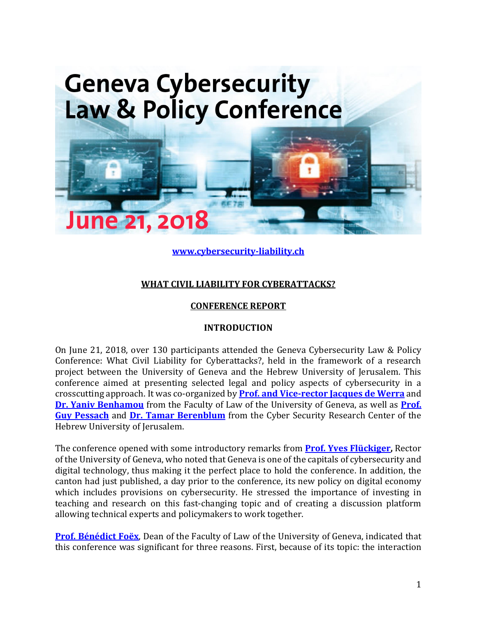

**[www.cybersecurity-liability.ch](http://www.cybersecurity-liability.ch/)**

# **WHAT CIVIL LIABILITY FOR CYBERATTACKS?**

# **CONFERENCE REPORT**

# **INTRODUCTION**

On June 21, 2018, over 130 participants attended the Geneva Cybersecurity Law & Policy Conference: What Civil Liability for Cyberattacks?, held in the framework of a research project between the University of Geneva and the Hebrew University of Jerusalem. This conference aimed at presenting selected legal and policy aspects of cybersecurity in a crosscutting approach. It was co-organized by **[Prof. and Vice-rector Jacques de Werra](https://www.unige.ch/droit/collaborateur/professeurs/dewerra-jacques/)** and **[Dr. Yaniv Benhamou](https://www.unige.ch/droit/collaborateur/cema/benhamou-yaniv/)** from the Faculty of Law of the University of Geneva, as well as **[Prof.](https://en.law.huji.ac.il/people/guy-pessach)  [Guy Pessach](https://en.law.huji.ac.il/people/guy-pessach)** and **[Dr. Tamar Berenblum](https://csrcl.huji.ac.il/people/tamar-berenblum)** from the Cyber Security Research Center of the Hebrew University of Jerusalem.

The conference opened with some introductory remarks from **[Prof. Yves Flückiger,](https://www.unige.ch/rectorat/home/recteur-yves-fluckiger/)** Rector of the University of Geneva, who noted that Geneva is one of the capitals of cybersecurity and digital technology, thus making it the perfect place to hold the conference. In addition, the canton had just published, a day prior to the conference, its new policy on digital economy which includes provisions on cybersecurity. He stressed the importance of investing in teaching and research on this fast-changing topic and of creating a discussion platform allowing technical experts and policymakers to work together.

**[Prof. Bénédict Foëx](https://www.unige.ch/droit/collaborateur/professeurs/foex-benedict/)**, Dean of the Faculty of Law of the University of Geneva, indicated that this conference was significant for three reasons. First, because of its topic: the interaction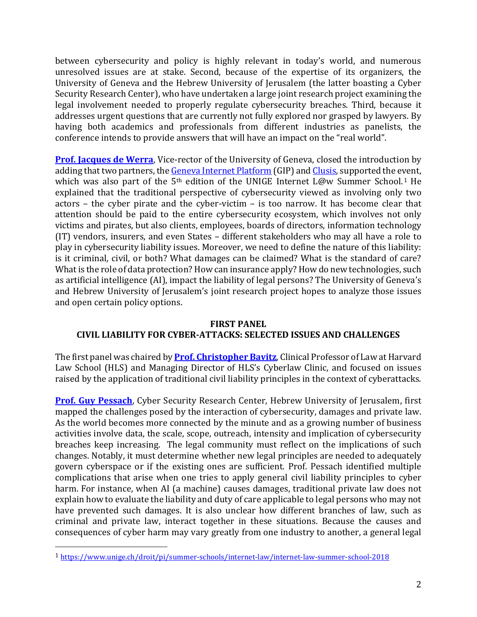between cybersecurity and policy is highly relevant in today's world, and numerous unresolved issues are at stake. Second, because of the expertise of its organizers, the University of Geneva and the Hebrew University of Jerusalem (the latter boasting a Cyber Security Research Center), who have undertaken a large joint research project examining the legal involvement needed to properly regulate cybersecurity breaches. Third, because it addresses urgent questions that are currently not fully explored nor grasped by lawyers. By having both academics and professionals from different industries as panelists, the conference intends to provide answers that will have an impact on the "real world".

**[Prof. Jacques de Werra](https://www.unige.ch/droit/collaborateur/professeurs/dewerra-jacques/)**, Vice-rector of the University of Geneva, closed the introduction by adding that two partners, the Geneva [Internet Platform](https://www.giplatform.org/) (GIP) an[d Clusis,](https://clusis.ch/) supported the event, which was also part of the 5<sup>th</sup> edition of the UNIGE Internet L@w Summer School.<sup>1</sup> He explained that the traditional perspective of cybersecurity viewed as involving only two actors – the cyber pirate and the cyber-victim – is too narrow. It has become clear that attention should be paid to the entire cybersecurity ecosystem, which involves not only victims and pirates, but also clients, employees, boards of directors, information technology (IT) vendors, insurers, and even States – different stakeholders who may all have a role to play in cybersecurity liability issues. Moreover, we need to define the nature of this liability: is it criminal, civil, or both? What damages can be claimed? What is the standard of care? What is the role of data protection? How can insurance apply? How do new technologies, such as artificial intelligence (AI), impact the liability of legal persons? The University of Geneva's and Hebrew University of Jerusalem's joint research project hopes to analyze those issues and open certain policy options.

# **FIRST PANEL CIVIL LIABILITY FOR CYBER-ATTACKS: SELECTED ISSUES AND CHALLENGES**

The first panel was chaired by **[Prof. Christopher](https://hls.harvard.edu/faculty/directory/10055/Bavitz) Bavitz**, Clinical Professor of Law at Harvard Law School (HLS) and Managing Director of HLS's Cyberlaw Clinic, and focused on issues raised by the application of traditional civil liability principles in the context of cyberattacks.

**[Prof. Guy Pessach](https://en.law.huji.ac.il/people/guy-pessach)**, Cyber Security Research Center, Hebrew University of Jerusalem, first mapped the challenges posed by the interaction of cybersecurity, damages and private law. As the world becomes more connected by the minute and as a growing number of business activities involve data, the scale, scope, outreach, intensity and implication of cybersecurity breaches keep increasing. The legal community must reflect on the implications of such changes. Notably, it must determine whether new legal principles are needed to adequately govern cyberspace or if the existing ones are sufficient. Prof. Pessach identified multiple complications that arise when one tries to apply general civil liability principles to cyber harm. For instance, when AI (a machine) causes damages, traditional private law does not explain how to evaluate the liability and duty of care applicable to legal persons who may not have prevented such damages. It is also unclear how different branches of law, such as criminal and private law, interact together in these situations. Because the causes and consequences of cyber harm may vary greatly from one industry to another, a general legal

<sup>1</sup> <https://www.unige.ch/droit/pi/summer-schools/internet-law/internet-law-summer-school-2018>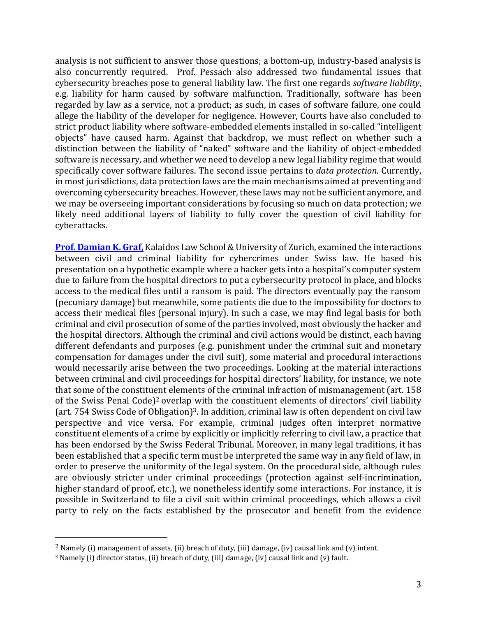analysis is not sufficient to answer those questions; a bottom-up, industry-based analysis is also concurrently required. Prof. Pessach also addressed two fundamental issues that cybersecurity breaches pose to general liability law. The first one regards *software liability*, e.g. liability for harm caused by software malfunction. Traditionally, software has been regarded by law as a service, not a product; as such, in cases of software failure, one could allege the liability of the developer for negligence. However, Courts have also concluded to strict product liability where software-embedded elements installed in so-called "intelligent objects" have caused harm. Against that backdrop, we must reflect on whether such a distinction between the liability of "naked" software and the liability of object-embedded software is necessary, and whether we need to develop a new legal liability regime that would specifically cover software failures. The second issue pertains to *data protection*. Currently, in most jurisdictions, data protection laws are the main mechanisms aimed at preventing and overcoming cybersecurity breaches. However, these laws may not be sufficient anymore, and we may be overseeing important considerations by focusing so much on data protection; we likely need additional layers of liability to fully cover the question of civil liability for cyberattacks.

**[Prof. Damian K. Graf,](https://www.ius.uzh.ch/de/staff/privatdozents/pd-graf/person.html)** Kalaidos Law School & University of Zurich, examined the interactions between civil and criminal liability for cybercrimes under Swiss law. He based his presentation on a hypothetic example where a hacker gets into a hospital's computer system due to failure from the hospital directors to put a cybersecurity protocol in place, and blocks access to the medical files until a ransom is paid. The directors eventually pay the ransom (pecuniary damage) but meanwhile, some patients die due to the impossibility for doctors to access their medical files (personal injury). In such a case, we may find legal basis for both criminal and civil prosecution of some of the parties involved, most obviously the hacker and the hospital directors. Although the criminal and civil actions would be distinct, each having different defendants and purposes (e.g. punishment under the criminal suit and monetary compensation for damages under the civil suit), some material and procedural interactions would necessarily arise between the two proceedings. Looking at the material interactions between criminal and civil proceedings for hospital directors' liability, for instance, we note that some of the constituent elements of the criminal infraction of mismanagement (art. 158 of the Swiss Penal Code)<sup>2</sup> overlap with the constituent elements of directors' civil liability (art. 754 Swiss Code of Obligation)<sup>3</sup>. In addition, criminal law is often dependent on civil law perspective and vice versa. For example, criminal judges often interpret normative constituent elements of a crime by explicitly or implicitly referring to civil law, a practice that has been endorsed by the Swiss Federal Tribunal. Moreover, in many legal traditions, it has been established that a specific term must be interpreted the same way in any field of law, in order to preserve the uniformity of the legal system. On the procedural side, although rules are obviously stricter under criminal proceedings (protection against self-incrimination, higher standard of proof, etc.), we nonetheless identify some interactions. For instance, it is possible in Switzerland to file a civil suit within criminal proceedings, which allows a civil party to rely on the facts established by the prosecutor and benefit from the evidence

<sup>&</sup>lt;sup>2</sup> Namely (i) management of assets, (ii) breach of duty, (iii) damage, (iv) causal link and (v) intent.

<sup>3</sup> Namely (i) director status, (ii) breach of duty, (iii) damage, (iv) causal link and (v) fault.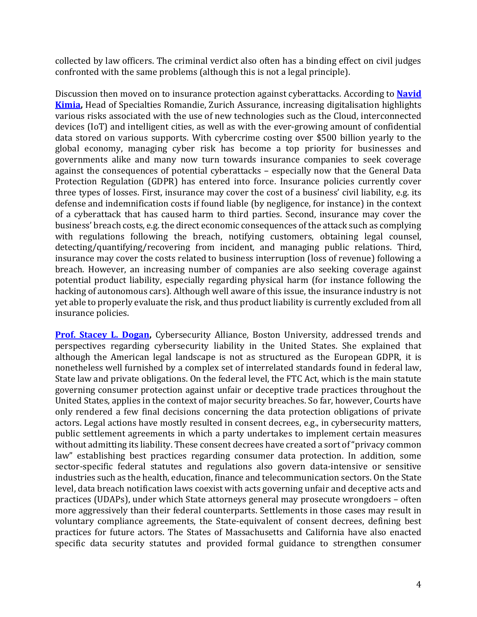collected by law officers. The criminal verdict also often has a binding effect on civil judges confronted with the same problems (although this is not a legal principle).

Discussion then moved on to insurance protection against cyberattacks. According to **[Navid](https://www.linkedin.com/in/navid-kimia-a7520930/)  [Kimia,](https://www.linkedin.com/in/navid-kimia-a7520930/)** Head of Specialties Romandie, Zurich Assurance, increasing digitalisation highlights various risks associated with the use of new technologies such as the Cloud, interconnected devices (IoT) and intelligent cities, as well as with the ever-growing amount of confidential data stored on various supports. With cybercrime costing over \$500 billion yearly to the global economy, managing cyber risk has become a top priority for businesses and governments alike and many now turn towards insurance companies to seek coverage against the consequences of potential cyberattacks – especially now that the General Data Protection Regulation (GDPR) has entered into force. Insurance policies currently cover three types of losses. First, insurance may cover the cost of a business' civil liability, e.g. its defense and indemnification costs if found liable (by negligence, for instance) in the context of a cyberattack that has caused harm to third parties. Second, insurance may cover the business' breach costs, e.g. the direct economic consequences of the attack such as complying with regulations following the breach, notifying customers, obtaining legal counsel, detecting/quantifying/recovering from incident, and managing public relations. Third, insurance may cover the costs related to business interruption (loss of revenue) following a breach. However, an increasing number of companies are also seeking coverage against potential product liability, especially regarding physical harm (for instance following the hacking of autonomous cars). Although well aware of this issue, the insurance industry is not yet able to properly evaluate the risk, and thus product liability is currently excluded from all insurance policies.

**[Prof. Stacey L. Dogan,](https://www.bu.edu/law/profile/stacey-dogan/)** Cybersecurity Alliance, Boston University, addressed trends and perspectives regarding cybersecurity liability in the United States. She explained that although the American legal landscape is not as structured as the European GDPR, it is nonetheless well furnished by a complex set of interrelated standards found in federal law, State law and private obligations. On the federal level, the FTC Act, which is the main statute governing consumer protection against unfair or deceptive trade practices throughout the United States, applies in the context of major security breaches. So far, however, Courts have only rendered a few final decisions concerning the data protection obligations of private actors. Legal actions have mostly resulted in consent decrees, e.g., in cybersecurity matters, public settlement agreements in which a party undertakes to implement certain measures without admitting its liability. These consent decrees have created a sort of "privacy common law" establishing best practices regarding consumer data protection. In addition, some sector-specific federal statutes and regulations also govern data-intensive or sensitive industries such as the health, education, finance and telecommunication sectors. On the State level, data breach notification laws coexist with acts governing unfair and deceptive acts and practices (UDAPs), under which State attorneys general may prosecute wrongdoers – often more aggressively than their federal counterparts. Settlements in those cases may result in voluntary compliance agreements, the State-equivalent of consent decrees, defining best practices for future actors. The States of Massachusetts and California have also enacted specific data security statutes and provided formal guidance to strengthen consumer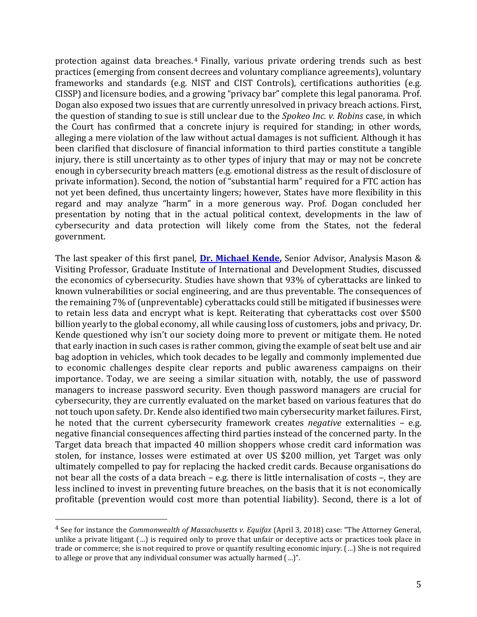protection against data breaches. <sup>4</sup> Finally, various private ordering trends such as best practices (emerging from consent decrees and voluntary compliance agreements), voluntary frameworks and standards (e.g. NIST and CIST Controls), certifications authorities (e.g. CISSP) and licensure bodies, and a growing "privacy bar" complete this legal panorama. Prof. Dogan also exposed two issues that are currently unresolved in privacy breach actions. First, the question of standing to sue is still unclear due to the *Spokeo Inc. v. Robins* case, in which the Court has confirmed that a concrete injury is required for standing; in other words, alleging a mere violation of the law without actual damages is not sufficient. Although it has been clarified that disclosure of financial information to third parties constitute a tangible injury, there is still uncertainty as to other types of injury that may or may not be concrete enough in cybersecurity breach matters (e.g. emotional distress as the result of disclosure of private information). Second, the notion of "substantial harm" required for a FTC action has not yet been defined, thus uncertainty lingers; however, States have more flexibility in this regard and may analyze "harm" in a more generous way. Prof. Dogan concluded her presentation by noting that in the actual political context, developments in the law of cybersecurity and data protection will likely come from the States, not the federal government.

The last speaker of this first panel, **[Dr. Michael Kende,](https://www.linkedin.com/in/michael-kende-4a0144/)** Senior Advisor, Analysis Mason & Visiting Professor, Graduate Institute of International and Development Studies, discussed the economics of cybersecurity. Studies have shown that 93% of cyberattacks are linked to known vulnerabilities or social engineering, and are thus preventable. The consequences of the remaining 7% of (unpreventable) cyberattacks could still be mitigated if businesses were to retain less data and encrypt what is kept. Reiterating that cyberattacks cost over \$500 billion yearly to the global economy, all while causing loss of customers, jobs and privacy, Dr. Kende questioned why isn't our society doing more to prevent or mitigate them. He noted that early inaction in such cases is rather common, giving the example of seat belt use and air bag adoption in vehicles, which took decades to be legally and commonly implemented due to economic challenges despite clear reports and public awareness campaigns on their importance. Today, we are seeing a similar situation with, notably, the use of password managers to increase password security. Even though password managers are crucial for cybersecurity, they are currently evaluated on the market based on various features that do not touch upon safety. Dr. Kende also identified two main cybersecurity market failures. First, he noted that the current cybersecurity framework creates *negative* externalities – e.g. negative financial consequences affecting third parties instead of the concerned party. In the Target data breach that impacted 40 million shoppers whose credit card information was stolen, for instance, losses were estimated at over US \$200 million, yet Target was only ultimately compelled to pay for replacing the hacked credit cards. Because organisations do not bear all the costs of a data breach – e.g. there is little internalisation of costs –, they are less inclined to invest in preventing future breaches, on the basis that it is not economically profitable (prevention would cost more than potential liability). Second, there is a lot of

l

<sup>4</sup> See for instance the *Commonwealth of Massachusetts v. Equifax* (April 3, 2018) case: "The Attorney General, unlike a private litigant (…) is required only to prove that unfair or deceptive acts or practices took place in trade or commerce; she is not required to prove or quantify resulting economic injury. (…) She is not required to allege or prove that any individual consumer was actually harmed (…)".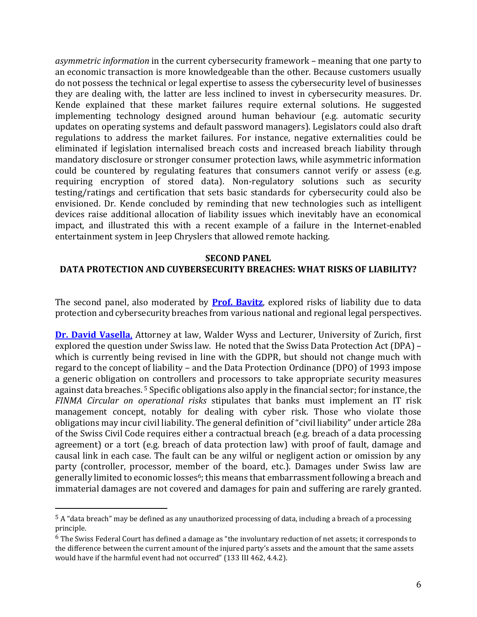*asymmetric information* in the current cybersecurity framework – meaning that one party to an economic transaction is more knowledgeable than the other. Because customers usually do not possess the technical or legal expertise to assess the cybersecurity level of businesses they are dealing with, the latter are less inclined to invest in cybersecurity measures. Dr. Kende explained that these market failures require external solutions. He suggested implementing technology designed around human behaviour (e.g. automatic security updates on operating systems and default password managers). Legislators could also draft regulations to address the market failures. For instance, negative externalities could be eliminated if legislation internalised breach costs and increased breach liability through mandatory disclosure or stronger consumer protection laws, while asymmetric information could be countered by regulating features that consumers cannot verify or assess (e.g. requiring encryption of stored data). Non-regulatory solutions such as security testing/ratings and certification that sets basic standards for cybersecurity could also be envisioned. Dr. Kende concluded by reminding that new technologies such as intelligent devices raise additional allocation of liability issues which inevitably have an economical impact, and illustrated this with a recent example of a failure in the Internet-enabled entertainment system in Jeep Chryslers that allowed remote hacking.

#### **SECOND PANEL**

### **DATA PROTECTION AND CUYBERSECURITY BREACHES: WHAT RISKS OF LIABILITY?**

The second panel, also moderated by **[Prof. Bavitz](https://hls.harvard.edu/faculty/directory/10055/Bavitz)**, explored risks of liability due to data protection and cybersecurity breaches from various national and regional legal perspectives.

**[Dr. David Vasella](https://www.walderwyss.com/en/lawyers/david.vasella)**, Attorney at law, Walder Wyss and Lecturer, University of Zurich, first explored the question under Swiss law. He noted that the Swiss Data Protection Act (DPA) – which is currently being revised in line with the GDPR, but should not change much with regard to the concept of liability – and the Data Protection Ordinance (DPO) of 1993 impose a generic obligation on controllers and processors to take appropriate security measures against data breaches. <sup>5</sup> Specific obligations also apply in the financial sector; for instance, the *FINMA Circular on operational risks* stipulates that banks must implement an IT risk management concept, notably for dealing with cyber risk. Those who violate those obligations may incur civil liability. The general definition of "civil liability" under article 28a of the Swiss Civil Code requires either a contractual breach (e.g. breach of a data processing agreement) or a tort (e.g. breach of data protection law) with proof of fault, damage and causal link in each case. The fault can be any wilful or negligent action or omission by any party (controller, processor, member of the board, etc.). Damages under Swiss law are generally limited to economic losses<sup>6</sup>; this means that embarrassment following a breach and immaterial damages are not covered and damages for pain and suffering are rarely granted.

<sup>5</sup> A "data breach" may be defined as any unauthorized processing of data, including a breach of a processing principle.

 $6$  The Swiss Federal Court has defined a damage as "the involuntary reduction of net assets; it corresponds to the difference between the current amount of the injured party's assets and the amount that the same assets would have if the harmful event had not occurred" (133 III 462, 4.4.2).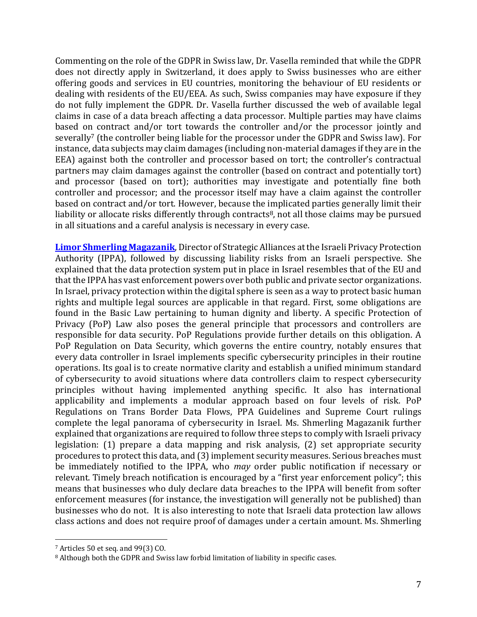Commenting on the role of the GDPR in Swiss law, Dr. Vasella reminded that while the GDPR does not directly apply in Switzerland, it does apply to Swiss businesses who are either offering goods and services in EU countries, monitoring the behaviour of EU residents or dealing with residents of the EU/EEA. As such, Swiss companies may have exposure if they do not fully implement the GDPR. Dr. Vasella further discussed the web of available legal claims in case of a data breach affecting a data processor. Multiple parties may have claims based on contract and/or tort towards the controller and/or the processor jointly and severally<sup>7</sup> (the controller being liable for the processor under the GDPR and Swiss law). For instance, data subjects may claim damages (including non-material damages if they are in the EEA) against both the controller and processor based on tort; the controller's contractual partners may claim damages against the controller (based on contract and potentially tort) and processor (based on tort); authorities may investigate and potentially fine both controller and processor; and the processor itself may have a claim against the controller based on contract and/or tort. However, because the implicated parties generally limit their liability or allocate risks differently through contracts<sup>8</sup>, not all those claims may be pursued in all situations and a careful analysis is necessary in every case.

**[Limor Shmerling Magazanik](https://www.cybertechisrael.com/limor-shmerling-magazanik)**, Director of Strategic Alliances at the Israeli Privacy Protection Authority (IPPA), followed by discussing liability risks from an Israeli perspective. She explained that the data protection system put in place in Israel resembles that of the EU and that the IPPA has vast enforcement powers over both public and private sector organizations. In Israel, privacy protection within the digital sphere is seen as a way to protect basic human rights and multiple legal sources are applicable in that regard. First, some obligations are found in the Basic Law pertaining to human dignity and liberty. A specific Protection of Privacy (PoP) Law also poses the general principle that processors and controllers are responsible for data security. PoP Regulations provide further details on this obligation. A PoP Regulation on Data Security, which governs the entire country, notably ensures that every data controller in Israel implements specific cybersecurity principles in their routine operations. Its goal is to create normative clarity and establish a unified minimum standard of cybersecurity to avoid situations where data controllers claim to respect cybersecurity principles without having implemented anything specific. It also has international applicability and implements a modular approach based on four levels of risk. PoP Regulations on Trans Border Data Flows, PPA Guidelines and Supreme Court rulings complete the legal panorama of cybersecurity in Israel. Ms. Shmerling Magazanik further explained that organizations are required to follow three steps to comply with Israeli privacy legislation: (1) prepare a data mapping and risk analysis, (2) set appropriate security procedures to protect this data, and (3)implement security measures. Serious breaches must be immediately notified to the IPPA, who *may* order public notification if necessary or relevant. Timely breach notification is encouraged by a "first year enforcement policy"; this means that businesses who duly declare data breaches to the IPPA will benefit from softer enforcement measures (for instance, the investigation will generally not be published) than businesses who do not. It is also interesting to note that Israeli data protection law allows class actions and does not require proof of damages under a certain amount. Ms. Shmerling

<sup>7</sup> Articles 50 et seq. and 99(3) CO.

<sup>&</sup>lt;sup>8</sup> Although both the GDPR and Swiss law forbid limitation of liability in specific cases.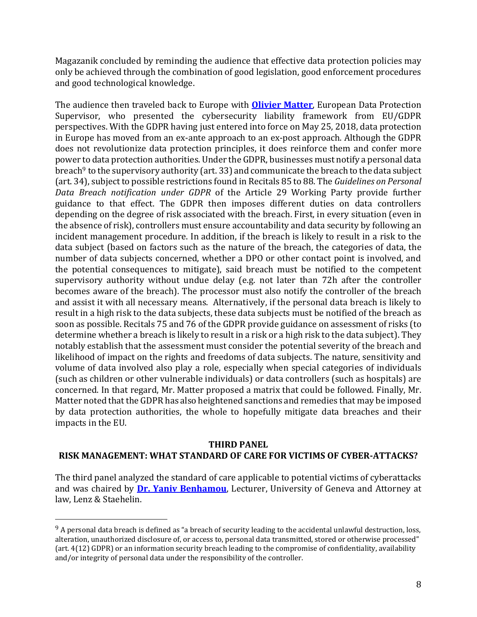Magazanik concluded by reminding the audience that effective data protection policies may only be achieved through the combination of good legislation, good enforcement procedures and good technological knowledge.

The audience then traveled back to Europe with **[Olivier Matter](https://www.linkedin.com/in/olivier-matter-814785a6/)**, European Data Protection Supervisor, who presented the cybersecurity liability framework from EU/GDPR perspectives. With the GDPR having just entered into force on May 25, 2018, data protection in Europe has moved from an ex-ante approach to an ex-post approach. Although the GDPR does not revolutionize data protection principles, it does reinforce them and confer more power to data protection authorities. Under the GDPR, businesses must notify a personal data breach<sup>9</sup> to the supervisory authority (art. 33) and communicate the breach to the data subject (art. 34), subject to possible restrictions found in Recitals 85 to 88. The *Guidelines on Personal Data Breach notification under GDPR* of the Article 29 Working Party provide further guidance to that effect. The GDPR then imposes different duties on data controllers depending on the degree of risk associated with the breach. First, in every situation (even in the absence of risk), controllers must ensure accountability and data security by following an incident management procedure. In addition, if the breach is likely to result in a risk to the data subject (based on factors such as the nature of the breach, the categories of data, the number of data subjects concerned, whether a DPO or other contact point is involved, and the potential consequences to mitigate), said breach must be notified to the competent supervisory authority without undue delay (e.g. not later than 72h after the controller becomes aware of the breach). The processor must also notify the controller of the breach and assist it with all necessary means. Alternatively, if the personal data breach is likely to result in a high risk to the data subjects, these data subjects must be notified of the breach as soon as possible. Recitals 75 and 76 of the GDPR provide guidance on assessment of risks (to determine whether a breach is likely to result in a risk or a high risk to the data subject). They notably establish that the assessment must consider the potential severity of the breach and likelihood of impact on the rights and freedoms of data subjects. The nature, sensitivity and volume of data involved also play a role, especially when special categories of individuals (such as children or other vulnerable individuals) or data controllers (such as hospitals) are concerned. In that regard, Mr. Matter proposed a matrix that could be followed. Finally, Mr. Matter noted that the GDPR has also heightened sanctions and remedies that may be imposed by data protection authorities, the whole to hopefully mitigate data breaches and their impacts in the EU.

### **THIRD PANEL**

# **RISK MANAGEMENT: WHAT STANDARD OF CARE FOR VICTIMS OF CYBER-ATTACKS?**

The third panel analyzed the standard of care applicable to potential victims of cyberattacks and was chaired by **[Dr. Yaniv Benhamou](https://www.unige.ch/droit/collaborateur/cema/benhamou-yaniv/)**, Lecturer, University of Geneva and Attorney at law, Lenz & Staehelin.

l

 $9$  A personal data breach is defined as "a breach of security leading to the accidental unlawful destruction, loss, alteration, unauthorized disclosure of, or access to, personal data transmitted, stored or otherwise processed" (art. 4(12) GDPR) or an information security breach leading to the compromise of confidentiality, availability and/or integrity of personal data under the responsibility of the controller.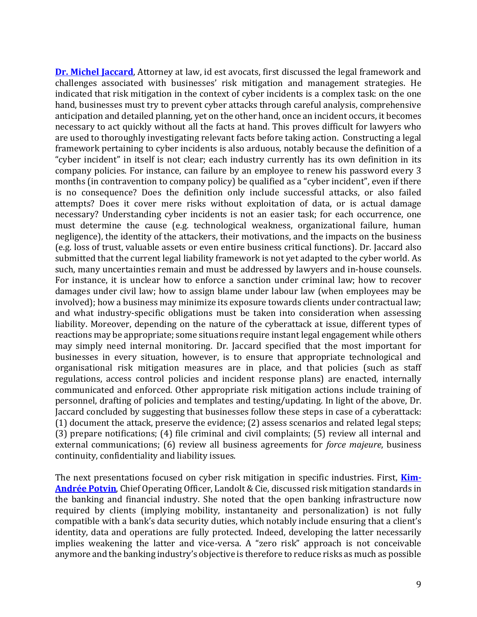**[Dr. Michel Jaccard](https://www.idest.pro/avocat/michel-jaccard/)**, Attorney at law, id est avocats, first discussed the legal framework and challenges associated with businesses' risk mitigation and management strategies. He indicated that risk mitigation in the context of cyber incidents is a complex task: on the one hand, businesses must try to prevent cyber attacks through careful analysis, comprehensive anticipation and detailed planning, yet on the other hand, once an incident occurs, it becomes necessary to act quickly without all the facts at hand. This proves difficult for lawyers who are used to thoroughly investigating relevant facts before taking action. Constructing a legal framework pertaining to cyber incidents is also arduous, notably because the definition of a "cyber incident" in itself is not clear; each industry currently has its own definition in its company policies. For instance, can failure by an employee to renew his password every 3 months (in contravention to company policy) be qualified as a "cyber incident", even if there is no consequence? Does the definition only include successful attacks, or also failed attempts? Does it cover mere risks without exploitation of data, or is actual damage necessary? Understanding cyber incidents is not an easier task; for each occurrence, one must determine the cause (e.g. technological weakness, organizational failure, human negligence), the identity of the attackers, their motivations, and the impacts on the business (e.g. loss of trust, valuable assets or even entire business critical functions). Dr. Jaccard also submitted that the current legal liability framework is not yet adapted to the cyber world. As such, many uncertainties remain and must be addressed by lawyers and in-house counsels. For instance, it is unclear how to enforce a sanction under criminal law; how to recover damages under civil law; how to assign blame under labour law (when employees may be involved); how a business may minimize its exposure towards clients under contractual law; and what industry-specific obligations must be taken into consideration when assessing liability. Moreover, depending on the nature of the cyberattack at issue, different types of reactions may be appropriate; some situations require instant legal engagement while others may simply need internal monitoring. Dr. Jaccard specified that the most important for businesses in every situation, however, is to ensure that appropriate technological and organisational risk mitigation measures are in place, and that policies (such as staff regulations, access control policies and incident response plans) are enacted, internally communicated and enforced. Other appropriate risk mitigation actions include training of personnel, drafting of policies and templates and testing/updating. In light of the above, Dr. Jaccard concluded by suggesting that businesses follow these steps in case of a cyberattack: (1) document the attack, preserve the evidence; (2) assess scenarios and related legal steps; (3) prepare notifications; (4) file criminal and civil complaints; (5) review all internal and external communications; (6) review all business agreements for *force majeure*, business continuity, confidentiality and liability issues.

The next presentations focused on cyber risk mitigation in specific industries. First, **[Kim-](https://www.linkedin.com/in/kim-andr%C3%A9e-potvin-2ba10a2/)[Andrée Potvin](https://www.linkedin.com/in/kim-andr%C3%A9e-potvin-2ba10a2/)**, Chief Operating Officer, Landolt & Cie, discussed risk mitigation standards in the banking and financial industry. She noted that the open banking infrastructure now required by clients (implying mobility, instantaneity and personalization) is not fully compatible with a bank's data security duties, which notably include ensuring that a client's identity, data and operations are fully protected. Indeed, developing the latter necessarily implies weakening the latter and vice-versa. A "zero risk" approach is not conceivable anymore and the banking industry's objective is therefore to reduce risks as much as possible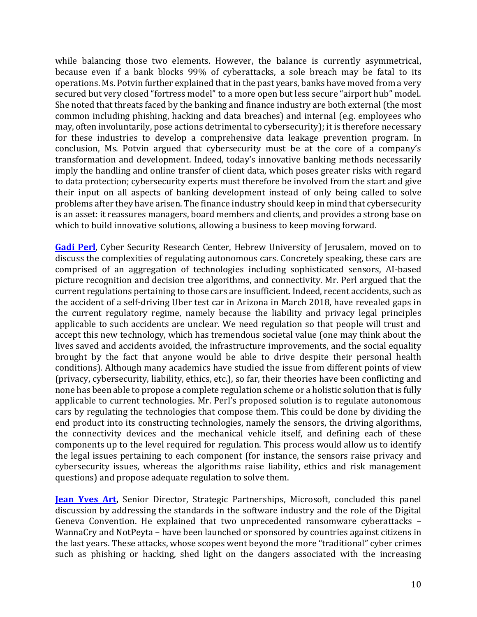while balancing those two elements. However, the balance is currently asymmetrical, because even if a bank blocks 99% of cyberattacks, a sole breach may be fatal to its operations. Ms. Potvin further explained that in the past years, banks have moved from a very secured but very closed "fortress model" to a more open but less secure "airport hub" model. She noted that threats faced by the banking and finance industry are both external (the most common including phishing, hacking and data breaches) and internal (e.g. employees who may, often involuntarily, pose actions detrimental to cybersecurity); it is therefore necessary for these industries to develop a comprehensive data leakage prevention program. In conclusion, Ms. Potvin argued that cybersecurity must be at the core of a company's transformation and development. Indeed, today's innovative banking methods necessarily imply the handling and online transfer of client data, which poses greater risks with regard to data protection; cybersecurity experts must therefore be involved from the start and give their input on all aspects of banking development instead of only being called to solve problems after they have arisen. The finance industry should keep in mind that cybersecurity is an asset: it reassures managers, board members and clients, and provides a strong base on which to build innovative solutions, allowing a business to keep moving forward.

**[Gadi Perl](https://www.linkedin.com/in/gadi-perl-03487b4b/)**, Cyber Security Research Center, Hebrew University of Jerusalem, moved on to discuss the complexities of regulating autonomous cars. Concretely speaking, these cars are comprised of an aggregation of technologies including sophisticated sensors, AI-based picture recognition and decision tree algorithms, and connectivity. Mr. Perl argued that the current regulations pertaining to those cars are insufficient. Indeed, recent accidents, such as the accident of a self-driving Uber test car in Arizona in March 2018, have revealed gaps in the current regulatory regime, namely because the liability and privacy legal principles applicable to such accidents are unclear. We need regulation so that people will trust and accept this new technology, which has tremendous societal value (one may think about the lives saved and accidents avoided, the infrastructure improvements, and the social equality brought by the fact that anyone would be able to drive despite their personal health conditions). Although many academics have studied the issue from different points of view (privacy, cybersecurity, liability, ethics, etc.), so far, their theories have been conflicting and none has been able to propose a complete regulation scheme or a holistic solution that is fully applicable to current technologies. Mr. Perl's proposed solution is to regulate autonomous cars by regulating the technologies that compose them. This could be done by dividing the end product into its constructing technologies, namely the sensors, the driving algorithms, the connectivity devices and the mechanical vehicle itself, and defining each of these components up to the level required for regulation. This process would allow us to identify the legal issues pertaining to each component (for instance, the sensors raise privacy and cybersecurity issues, whereas the algorithms raise liability, ethics and risk management questions) and propose adequate regulation to solve them.

**Jean [Yves Art,](https://www.linkedin.com/in/jean-yves-art-aa0126125/)** Senior Director, Strategic Partnerships, Microsoft, concluded this panel discussion by addressing the standards in the software industry and the role of the Digital Geneva Convention. He explained that two unprecedented ransomware cyberattacks – WannaCry and NotPeyta – have been launched or sponsored by countries against citizens in the last years. These attacks, whose scopes went beyond the more "traditional" cyber crimes such as phishing or hacking, shed light on the dangers associated with the increasing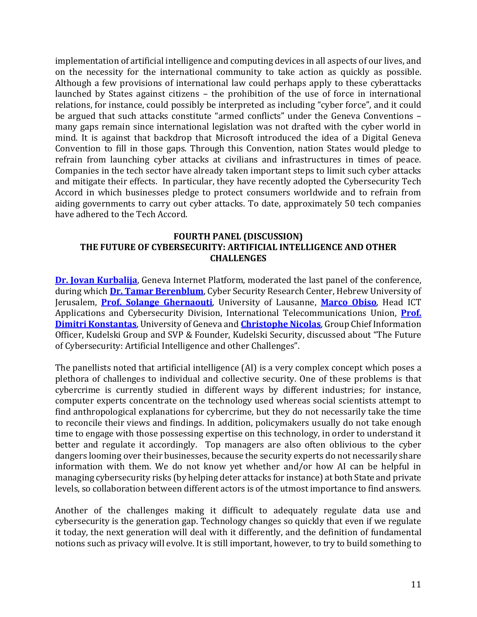implementation of artificial intelligence and computing devices in all aspects of our lives, and on the necessity for the international community to take action as quickly as possible. Although a few provisions of international law could perhaps apply to these cyberattacks launched by States against citizens – the prohibition of the use of force in international relations, for instance, could possibly be interpreted as including "cyber force", and it could be argued that such attacks constitute "armed conflicts" under the Geneva Conventions – many gaps remain since international legislation was not drafted with the cyber world in mind. It is against that backdrop that Microsoft introduced the idea of a Digital Geneva Convention to fill in those gaps. Through this Convention, nation States would pledge to refrain from launching cyber attacks at civilians and infrastructures in times of peace. Companies in the tech sector have already taken important steps to limit such cyber attacks and mitigate their effects. In particular, they have recently adopted the Cybersecurity Tech Accord in which businesses pledge to protect consumers worldwide and to refrain from aiding governments to carry out cyber attacks. To date, approximately 50 tech companies have adhered to the Tech Accord.

## **FOURTH PANEL (DISCUSSION) THE FUTURE OF CYBERSECURITY: ARTIFICIAL INTELLIGENCE AND OTHER CHALLENGES**

**[Dr. Jovan Kurbalija](https://www.diplomacy.edu/courses/faculty/kurbalija)**, Geneva Internet Platform, moderated the last panel of the conference, during which **[Dr. Tamar Berenblum](https://csrcl.huji.ac.il/people/tamar-berenblum)**, Cyber Security Research Center, Hebrew University of Jerusalem, **[Prof. Solange Ghernaouti](https://applicationspub.unil.ch/interpub/noauth/php/Un/UnPers.php?PerNum=3413&LanCode=37)**, University of Lausanne, **[Marco Obiso](https://www.itu.int/en/ITU-D/Regional-Presence/Europe/Documents/Events/2016/Cybersecurity%20Forum%20Bulgaria/Bio_Marco_Obiso.pdf)**, Head ICT Applications and Cybersecurity Division, International Telecommunications Union, **[Prof.](https://www.unige.ch/gsem/fr/recherche/corps-professoral/tous/dimitri-konstantas/)  [Dimitri Konstantas](https://www.unige.ch/gsem/fr/recherche/corps-professoral/tous/dimitri-konstantas/)**, University of Geneva and **[Christophe Nicolas](https://www.weforum.org/people/christophe-nicolas)**, Group Chief Information Officer, Kudelski Group and SVP & Founder, Kudelski Security, discussed about "The Future of Cybersecurity: Artificial Intelligence and other Challenges".

The panellists noted that artificial intelligence (AI) is a very complex concept which poses a plethora of challenges to individual and collective security. One of these problems is that cybercrime is currently studied in different ways by different industries; for instance, computer experts concentrate on the technology used whereas social scientists attempt to find anthropological explanations for cybercrime, but they do not necessarily take the time to reconcile their views and findings. In addition, policymakers usually do not take enough time to engage with those possessing expertise on this technology, in order to understand it better and regulate it accordingly. Top managers are also often oblivious to the cyber dangers looming over their businesses, because the security experts do not necessarily share information with them. We do not know yet whether and/or how AI can be helpful in managing cybersecurity risks (by helping deter attacks for instance) at both State and private levels, so collaboration between different actors is of the utmost importance to find answers.

Another of the challenges making it difficult to adequately regulate data use and cybersecurity is the generation gap. Technology changes so quickly that even if we regulate it today, the next generation will deal with it differently, and the definition of fundamental notions such as privacy will evolve. It is still important, however, to try to build something to